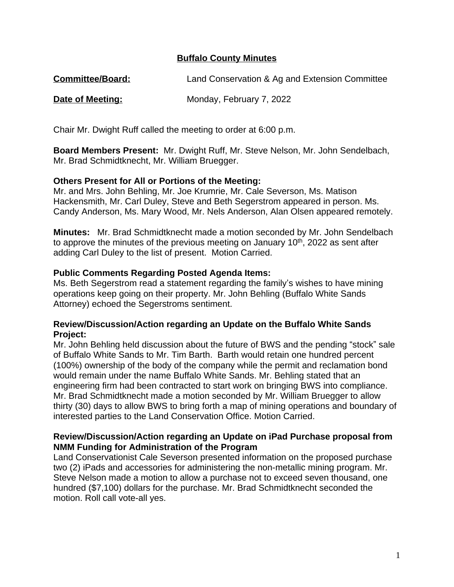# **Buffalo County Minutes**

| <b>Committee/Board:</b> | Land Conservation & Ag and Extension Committee |
|-------------------------|------------------------------------------------|
|-------------------------|------------------------------------------------|

**Date of Meeting:** Monday, February 7, 2022

Chair Mr. Dwight Ruff called the meeting to order at 6:00 p.m.

**Board Members Present:** Mr. Dwight Ruff, Mr. Steve Nelson, Mr. John Sendelbach, Mr. Brad Schmidtknecht, Mr. William Bruegger.

#### **Others Present for All or Portions of the Meeting:**

Mr. and Mrs. John Behling, Mr. Joe Krumrie, Mr. Cale Severson, Ms. Matison Hackensmith, Mr. Carl Duley, Steve and Beth Segerstrom appeared in person. Ms. Candy Anderson, Ms. Mary Wood, Mr. Nels Anderson, Alan Olsen appeared remotely.

**Minutes:** Mr. Brad Schmidtknecht made a motion seconded by Mr. John Sendelbach to approve the minutes of the previous meeting on January  $10<sup>th</sup>$ , 2022 as sent after adding Carl Duley to the list of present. Motion Carried.

#### **Public Comments Regarding Posted Agenda Items:**

Ms. Beth Segerstrom read a statement regarding the family's wishes to have mining operations keep going on their property. Mr. John Behling (Buffalo White Sands Attorney) echoed the Segerstroms sentiment.

#### **Review/Discussion/Action regarding an Update on the Buffalo White Sands Project:**

Mr. John Behling held discussion about the future of BWS and the pending "stock" sale of Buffalo White Sands to Mr. Tim Barth. Barth would retain one hundred percent (100%) ownership of the body of the company while the permit and reclamation bond would remain under the name Buffalo White Sands. Mr. Behling stated that an engineering firm had been contracted to start work on bringing BWS into compliance. Mr. Brad Schmidtknecht made a motion seconded by Mr. William Bruegger to allow thirty (30) days to allow BWS to bring forth a map of mining operations and boundary of interested parties to the Land Conservation Office. Motion Carried.

#### **Review/Discussion/Action regarding an Update on iPad Purchase proposal from NMM Funding for Administration of the Program**

Land Conservationist Cale Severson presented information on the proposed purchase two (2) iPads and accessories for administering the non-metallic mining program. Mr. Steve Nelson made a motion to allow a purchase not to exceed seven thousand, one hundred (\$7,100) dollars for the purchase. Mr. Brad Schmidtknecht seconded the motion. Roll call vote-all yes.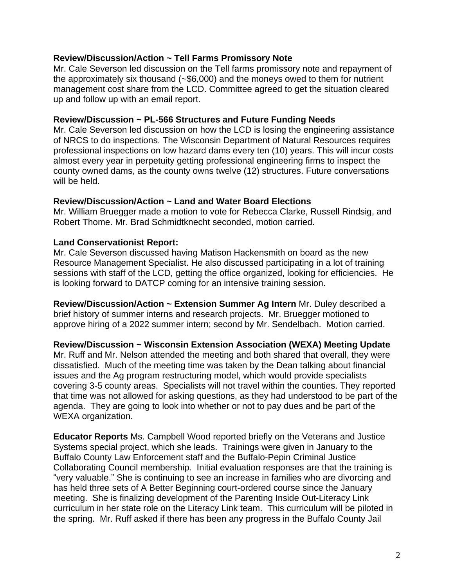# **Review/Discussion/Action ~ Tell Farms Promissory Note**

Mr. Cale Severson led discussion on the Tell farms promissory note and repayment of the approximately six thousand (~\$6,000) and the moneys owed to them for nutrient management cost share from the LCD. Committee agreed to get the situation cleared up and follow up with an email report.

## **Review/Discussion ~ PL-566 Structures and Future Funding Needs**

Mr. Cale Severson led discussion on how the LCD is losing the engineering assistance of NRCS to do inspections. The Wisconsin Department of Natural Resources requires professional inspections on low hazard dams every ten (10) years. This will incur costs almost every year in perpetuity getting professional engineering firms to inspect the county owned dams, as the county owns twelve (12) structures. Future conversations will be held.

## **Review/Discussion/Action ~ Land and Water Board Elections**

Mr. William Bruegger made a motion to vote for Rebecca Clarke, Russell Rindsig, and Robert Thome. Mr. Brad Schmidtknecht seconded, motion carried.

## **Land Conservationist Report:**

WEXA organization.

Mr. Cale Severson discussed having Matison Hackensmith on board as the new Resource Management Specialist. He also discussed participating in a lot of training sessions with staff of the LCD, getting the office organized, looking for efficiencies. He is looking forward to DATCP coming for an intensive training session.

**Review/Discussion/Action ~ Extension Summer Ag Intern** Mr. Duley described a brief history of summer interns and research projects. Mr. Bruegger motioned to approve hiring of a 2022 summer intern; second by Mr. Sendelbach. Motion carried.

**Review/Discussion ~ Wisconsin Extension Association (WEXA) Meeting Update** Mr. Ruff and Mr. Nelson attended the meeting and both shared that overall, they were dissatisfied. Much of the meeting time was taken by the Dean talking about financial issues and the Ag program restructuring model, which would provide specialists covering 3-5 county areas. Specialists will not travel within the counties. They reported that time was not allowed for asking questions, as they had understood to be part of the agenda. They are going to look into whether or not to pay dues and be part of the

**Educator Reports** Ms. Campbell Wood reported briefly on the Veterans and Justice Systems special project, which she leads. Trainings were given in January to the Buffalo County Law Enforcement staff and the Buffalo-Pepin Criminal Justice Collaborating Council membership. Initial evaluation responses are that the training is "very valuable." She is continuing to see an increase in families who are divorcing and has held three sets of A Better Beginning court-ordered course since the January meeting. She is finalizing development of the Parenting Inside Out-Literacy Link curriculum in her state role on the Literacy Link team. This curriculum will be piloted in the spring. Mr. Ruff asked if there has been any progress in the Buffalo County Jail